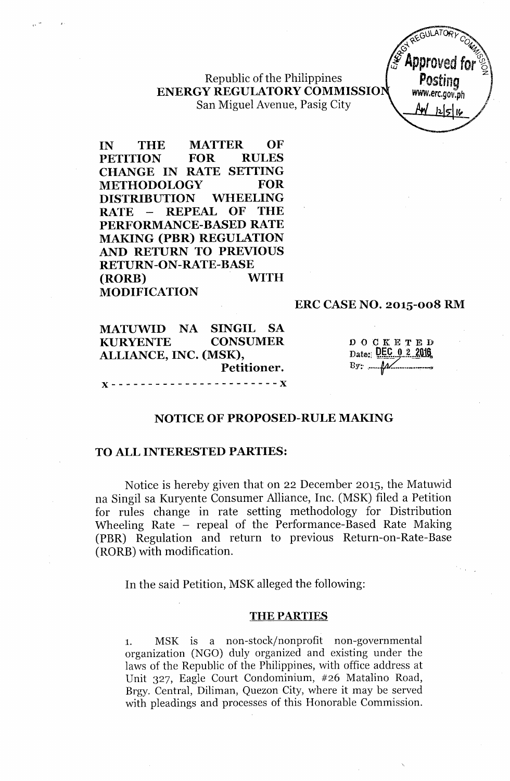Republic of the Philippines **ENERGY REGULATORYCOMMISSIO** San Miguel Avenue, Pasig City



**IN THE MATTER OF PETITION FOR RULES CHANGE IN RATE SETTING METHODOLOGY FOR DISTRIBUTION WHEELING RATE - REPEAL OF THE PERFORMANCE-BASED RATE MAKING (PBR) REGULATION AND RETURN TO PREVIOUS RETURN-ON-RATE-BASE (RORE) WITH MODIFICATION**

#### **ERC CASE NO. 2015-008 RM**

| MATUWID NA SINGIL SA  |  |                 |  |
|-----------------------|--|-----------------|--|
| <b>KURYENTE</b>       |  | <b>CONSUMER</b> |  |
| ALLIANCE, INC. (MSK), |  |                 |  |
|                       |  | Petitioner.     |  |
|                       |  |                 |  |

DOCKETED Date: DEC 0 2 2016  $By: \ \mathcal{M}$ 

### **NOTICE OF PROPOSED-RULE MAKING**

### **TO ALL INTERESTED PARTIES:**

Notice is hereby given that on 22 December 2015, the Matuwid na Singil sa Kuryente Consumer Alliance, Inc. (MSK) filed a Petition for rules change in rate setting methodology for Distribution Wheeling Rate - repeal of the Performance-Based Rate Making (PBR) Regulation and return to previous Return-on-Rate-Base (RORB) with modification.

In the said Petition, MSK alleged the following:

#### THE PARTIES

1. MSK is a non-stock/nonprofit non-governmental organization (NGO) duly organized and existing under the laws of the Republic of the Philippines, with office address at Unit 327, Eagle Court Condominium, #26 Matalino Road, Brgy. Central, Diliman, Quezon City, where it may be served with pleadings and processes of this Honorable Commission.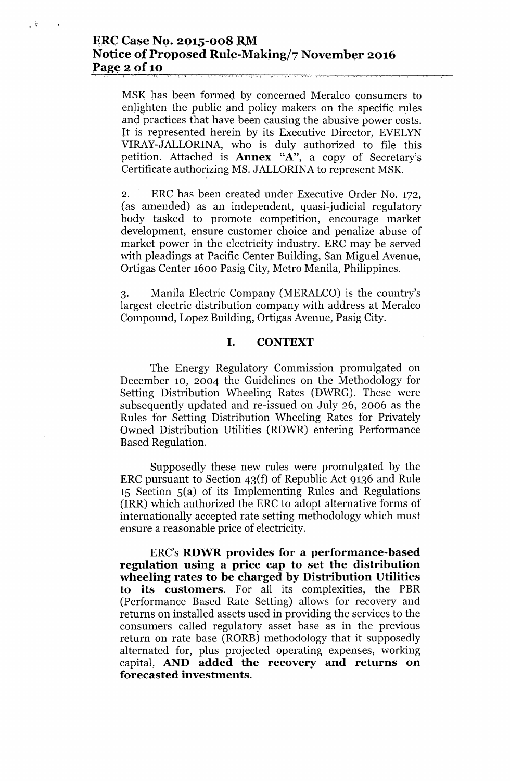### ~~C **Case NQ. 2Q15-008 RM Notice of Proposed Rule-Making/7 November 2016 Page 2 of 10**  $10$

 $\mathbb{C}^{\mathbb{Z}}$ 

MSK has been formed by concerned Meralco consumers to enlighten the public and policy makers on the specific rules and practices that have been causing the abusive power costs. It is represented herein by its Executive Director, EVELYN VIRAY-JALLORINA, who is duly authorized to file this petition. Attached is **Annex** "A", a copy of Secretary' Certificate authorizing MS. JALLORINA to represent MSK.

2. ERC has been created under Executive Order No. 172, (as amended) as an independent, quasi-judicial regulatory body tasked to promote competition, encourage market development, ensure customer choice and penalize abuse of market power in the electricity industry. ERC may be served with pleadings at Pacific Center Building, San Miguel Avenue, Ortigas Center 1600 Pasig City, Metro Manila, Philippines.

3. Manila Electric Company (MERALCO) is the country's largest electric distribution company with address at Meralco Compound, Lopez Building, Ortigas Avenue, Pasig City.

### **I. CONTEXT**

The Energy Regulatory Commission promulgated on December 10, 2004 the Guidelines on the Methodology for Setting Distribution Wheeling Rates (DWRG). These were subsequently updated and re-issued on July 26, 2006 as the Rules for Setting Distribution Wheeling Rates for Privately Owned Distribution Utilities (RDWR) entering Performance Based Regulation.

Supposedly these new rules were promulgated by the ERC pursuant to Section 43(f) of Republic Act 9136 and Rule  $15$  Section  $5(a)$  of its Implementing Rules and Regulations (IRR) which authorized the ERC to adopt alternative forms of internationally accepted rate setting methodology which must ensure a reasonable price of electricity.

ERC's **RDWR provides for a performance-based regulation using a price cap to set the distribution wheeling rates to be charged by Distribution Utilities to its customers.** For all its complexities, the **PBR** (Performance Based Rate Setting) allows for recovery and returns on installed assets used in providing the services to the consumers called regulatory asset base as in the previous return on rate base (RORB) methodology that it supposedly alternated for, plus projected operating expenses, working capital, **AND added the recovery and returns on forecasted investments.**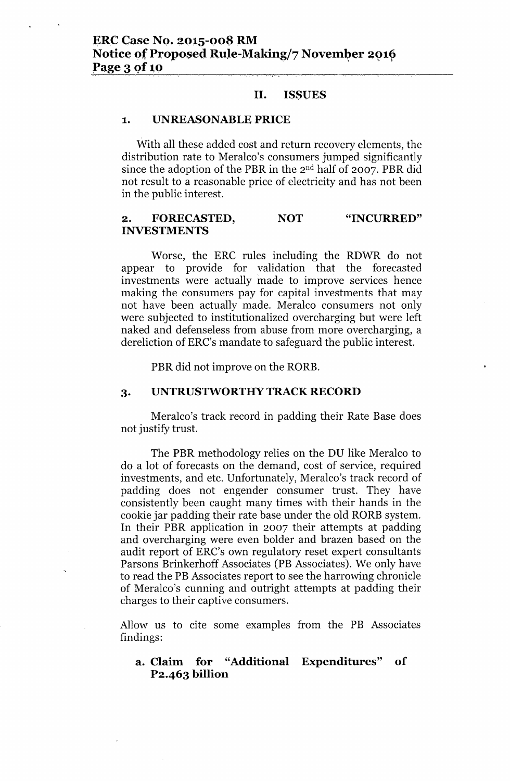#### II. ISSUES

### 1. UNREASONABLE PRICE

With all these added cost and return recovery elements, the distribution rate to Meralco's consumers jumped significantly since the adoption of the PBR in the 2<sup>nd</sup> half of 2007. PBR did not result to a reasonable price of electricity and has not been in the public interest.

#### 2. FORECASTED, INVESTMENTS NOT "INCURRED"

Worse, the ERC rules including the RDWR do not appear to provide for validation that the forecasted investments were actually made to improve services hence making the consumers pay for capital investments that may not have been actually made. Meralco consumers not only were subjected to institutionalized overcharging but were left naked and defenseless from abuse from more overcharging, a dereliction of ERC's mandate to safeguard the public interest.

PBR did not improve on the RORB.

### 3. UNTRUSTWORTHY TRACK RECORD

Meralco's track record in padding their Rate Base does not justify trust.

The PBR methodology relies on the DU like Meralco to do a lot of forecasts on the demand, cost of service, required investments, and etc. Unfortunately, Meralco's track record of padding does not engender consumer trust. They have consistently been caught many times with their hands in the cookie jar padding their rate base under the old RORB system. In their PBR application in 2007 their attempts at padding and overcharging were even bolder and brazen based on the audit report of ERC's own regulatory reset expert consultants Parsons Brinkerhoff Associates (PB Associates). We only have to read the PB Associates report to see the harrowing chronicle of Meralco's cunning and outright attempts at padding their charges to their captive consumers.

Allow us to cite some examples from the PB Associates findings:

### a. Claim for "Additional Expenditures" of P2.463 billion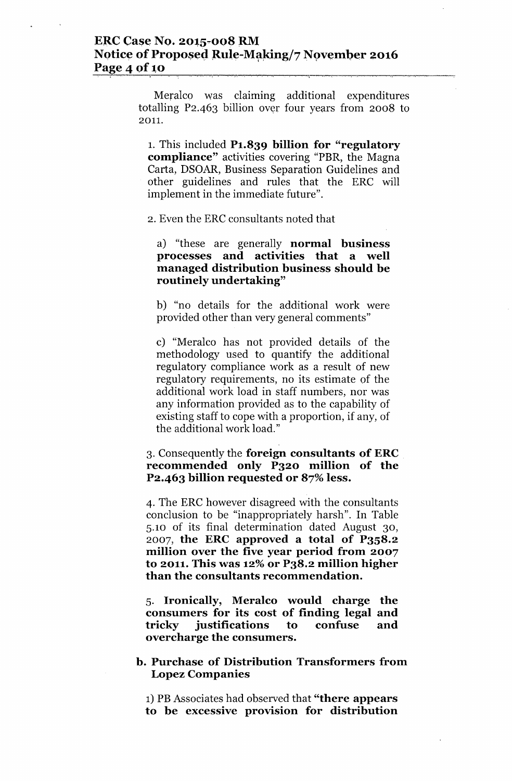# ERC Case No. 2015-008 RM Notice of Proposed Rule-Making/7 November 2016 <u>Page 4 of 10</u>

Meralco was claiming additional expenditures totalling  $P_2.463$  billion over four years from 2008 to 2011.

1. This included P1.839 billion for "regulatory compliance" activities covering "PBR, the Magna Carta, DSOAR, Business Separation Guidelines and other guidelines and rules that the ERC will implement in the immediate future".

2. Even the ERC consultants noted that

a) "these are generally normal business processes and activities that a well managed distribution business should be routinely undertaking"

b) "no details for the additional work were provided other than very general comments"

c) "Meralco has not provided details of the methodology used to quantify the additional regulatory compliance work as a result of new regulatory requirements, no its estimate of the additional work load in staff numbers, nor was any information provided as to the capability of existing staff to cope with a proportion, if any, of the additional work load."

### 3. Consequently the foreign consultants of ERC recommended only P320 million of the P2.463 billion requested or 87% less.

4. The ERC however disagreed with the consultants conclusion to be "inappropriately harsh". In Table 5.10 of its final determination dated August 30, 2007, the ERC approved a total of P3S8.2 million over the five year period from 2007 to 2011. This was 12% or P38.2 million higher than the consultants recommendation.

5. Ironically, Meralco would charge the consumers for its cost of finding legal and tricky justifications to confuse and overcharge the consumers.

### b. Purchase of Distribution Transformers from Lopez Companies

1) PB Associates had observed that "there appears to be excessive provision for distribution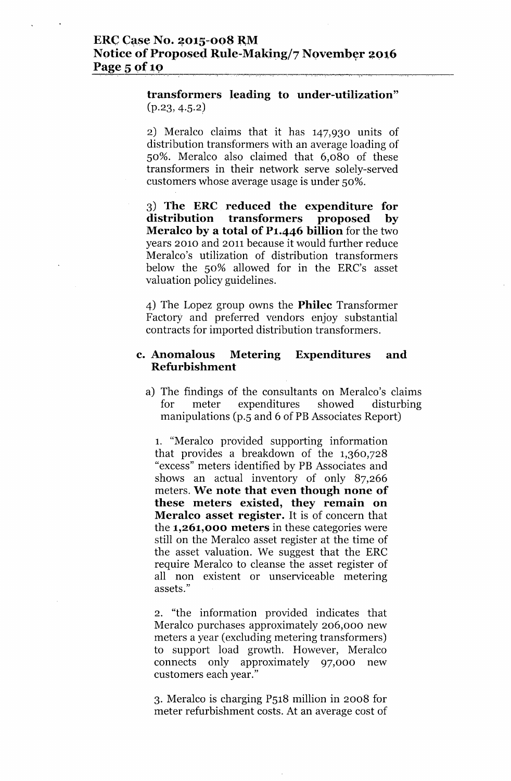## **ERC** Case No. 2015-008 RM **Notice of Proposed Rule-Making/7 November 2016 Page 5** of 10

**transformers** leading to under-utilization"  $(p.23, 4.5.2)$ 

2) Meralco claims that it has 147,930 units of distribution transformers with an average loading of so%. Meralco also claimed that 6,080 of these transformers in their network serve solely-served customers whose average usage is under so%.

3) **The ERe reduced the expenditure for distribution transformers proposed by Meralco by a total of P1.446 billion** for the two years 2010 and 2011 because it would further reduce Meralco's utilization of distribution transformers below the so% allowed for in the ERC's asset valuation policy guidelines.

4) The Lopez group owns the **Philec** Transformer Factory and preferred vendors enjoy substantial contracts for imported distribution transformers.

### **c. Anomalous Metering Expenditures and Refurbishment**

a) The findings of the consultants on Meralco's claims for meter expenditures showed disturbing manipulations (p.S and 6 of **PB** Associates Report)

1. "Meralco provided supporting information that provides a breakdown of the 1,360,728 "excess" meters identified by **PB** Associates and shows an actual inventory of only 87,266 meters. **We note that even though none of these meters existed, they remain on Meralco asset register. It** is of concern that the **1,261,000 meters** in these categories were still on the Meralco asset register at the time of the asset valuation. We suggest that the ERC require Meralco to cleanse the asset register of all non existent or unserviceable metering assets."

2. "the information provided indicates that Meralco purchases approximately 206,000 new meters a year (excluding metering transformers) to support load growth. However, Meralco connects only approximately 97,000 new customers each year."

3. Meralco is charging PS18 million in 2008 for meter refurbishment costs. At an average cost of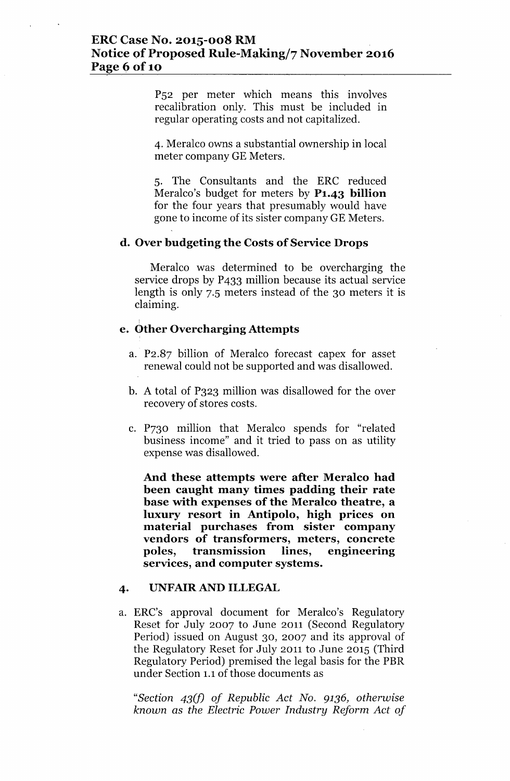### **ERCCase No. 2015-008 RM Notice of Proposed Rule-Making/7 November 2016 Page 6of10**

P52 per meter which means this involves recalibration only. This must be included in regular operating costs and not capitalized.

4. Meralco owns a substantial ownership in local meter company GE Meters.

5. The Consultants and the ERC reduced Meralco's budget for meters by **P1.43 billion** for the four years that presumably would have gone to income of its sister company GE Meters.

### **d. Overbudgeting the Costs of Service Drops**

Meralco was determined to be overcharging the service drops by P433 million because its actual service length is only 7.5 meters instead of the 30 meters it is claiming.

# I **e. C>therOvercharging Attempts**

- a. P2.87 billion of Meralco forecast capex for asset renewal could not be supported and was disallowed.
- b. A total of P323 million was disallowed for the over recovery of stores costs.
- c. P730 million that Meralco spends for "related business income" and it tried to pass on as utility expense was disallowed.

**And these attempts were after Meralco had been caught many times padding their rate base with expenses of the Meralco theatre, a luxury resort in Antipolo, high prices on material purchases from sister company vendors of transformers, meters, concrete poles, transmission lines, engineering services, and computer systems.**

#### **4.** UNFAIR AND **ILLEGAL**

a. ERC's approval document for Meralco's Regulatory Reset for July 2007 to June 2011 (Second Regulatory Period) issued on August 30, 2007 and its approval of the Regulatory Reset for July 2011 to June 2015 (Third Regulatory Period) premised the legal basis for the PBR under Section 1.1of those documents as

*"Section 43(f) of Republic Act No.* 9136, *otherwise known* as *the Electric Power Industry Reform Act of*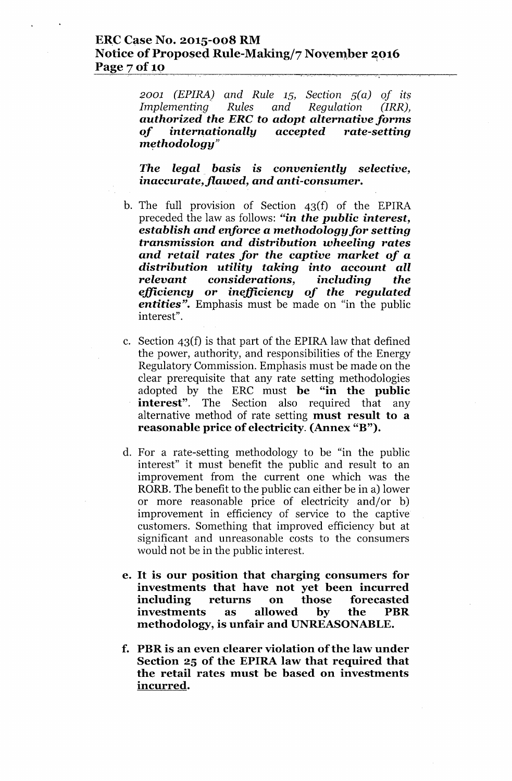### **ERC Case No. 2015-008 RM** Notice of Proposed Rule-Making/7 November 2016 Page 7 of 10

 $2001$  *(EPIRA)* and *Rule* 15, *Section*  $5(a)$  *of its Implementing Rules and Regulation (IRRJ, authorized the ERe to adopt alternative forms of intern.ationally accepted rate-setting*  $\boldsymbol{method}$ ology"

L'-,

*The legal basis* is *conveniently selective, inaccurate, flawed, and anti-consumer.*

- b. The full provision of Section 43(f) of the EPlRA preceded the law as follows: *"in the public interest, establish and enforce a methodology for setting transmission and distribution wheeling rates and retail rates for the captive market of a distribution utility taking into account all relevant considerations, including the efficiency* or *inefficiency of the regulated entities".* Emphasis must be made on "in the public interest".
- c. Section 43(f) is that part of the EPlRA law that defined the power, authority, and responsibilities of the Energy Regulatory Commission. Emphasis must be made on the clear prerequisite that any rate setting methodologies adopted by the ERC must be "in the public **interest**". The Section also required that any alternative method of rate setting must result to a reasonable price of electricity. (Annex "B").
- d. For a rate-setting methodology to be "in the public interest" it must benefit the public and result to an improvement from the current one which was the RORB.The benefit to the public can either be in a) lower or more reasonable price of electricity and/or b) improvement in efficiency of service to the captive customers. Something that improved efficiency but at significant and unreasonable costs to the consumers would not be in the public interest.
- e. It is our position that charging consumers for investments that have not yet been incurred including returns on those forecasted investments as allowed by the PBR methodology, is unfair and UNREASONABLE.
- f. PBRis an even clearer violation ofthe law under Section 25 of the EPIRA law that required that the retail rates must be based on investments incurred.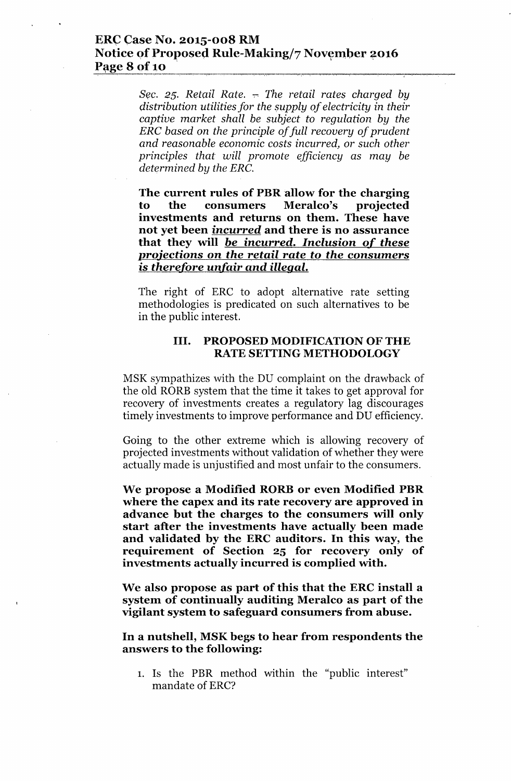### **ERC Case No. 2015-008 RM Notice of Proposed Rule-Making/7 November 2016 Page 8 of 10**

*Sec.* 25. *Retail Rate.*  $\sim$  *The retail rates charged by distribution utilities for the supply of electricity in their captive market shall be subject to regulation by the ERe based* on *the principle of full recovery of prudent and reasonable economic costs incurred,* or *such other principles that will promote efficiency* as *may be determined by the ERe.*

**The current rules of PBRallow for the charging to the consumers Meralco's projected investments and returns on them. These have not yet been incurred and there is no assurance that they will** *be* **incurred. Inclusion of** *these projections* **on** *the retail rate to the* **consumers is** *therefore unfair and illegal.*

The right of ERC to adopt alternative rate setting methodologies is predicated on such alternatives to be in the public interest.

### **III. PROPOSED MODIFICATION OF THE RATE SETTING METHODOLOGY**

MSK sympathizes with the DU complaint on the drawback of the old RORB system that the time it takes to get approval for recovery of investments creates a regulatory lag discourages timely investments to improve performance and DU efficiency.

Going to the other extreme which is allowing recovery of projected investments without validation of whether they were actually made is unjustified and most unfair to the consumers.

**We propose a Modified RORB or even Modified PBR where the capex and its rate recovery are approved in advance but the charges to the consumers will only start after the investments have actually been made and validated by the ERC auditors. In this way, the requirement of Section 25 for recovery only of investments actually incurred is complied with.**

**We also propose as part of this that the ERC install a system of continually auditing Meralco as part of the vigilant system to safeguard consumers from abuse.**

**In a nutshell, MSKbegs to hear from respondents the answers to the following:**

1. Is the PBR method within the "public interest" mandate of ERC'?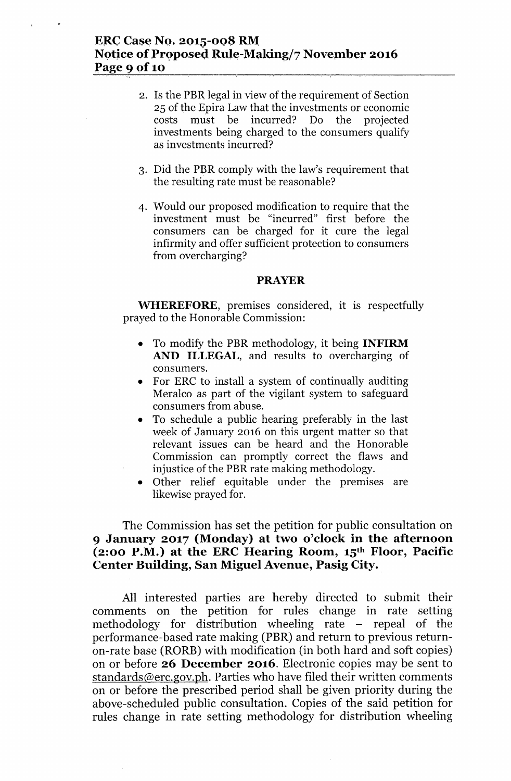- 2. Is the PBR legal in view of the requirement of Section 25 of the Epira Law that the investments or economic costs must be incurred? Do the projected investments being charged to the consumers qualify as investments incurred?
- 3. Did the PBR comply with the law's requirement that the resulting rate must be reasonable?
- 4. Would our proposed modification to require that the investment must be "incurred" first before the consumers can be charged for it cure the legal infirmity and offer sufficient protection to consumers from overcharging?

#### **PRAYER**

**WHEREFORE,** premises considered, it is respectfully prayed to the Honorable Commission:

- To modify the PBR methodology, it being **INFIRM AND ILLEGAL,** and results to overcharging of consumers.
- For ERC to install a system of continually auditing Meralco as part of the vigilant system to safeguard consumers from abuse.
- To schedule a public hearing preferably in the last week of January 2016 on this urgent matter so that relevant issues can be heard and the Honorable Commission can promptly correct the flaws and injustice of the PBR rate making methodology.
- Other relief equitable under the premises are likewise prayed for.

## The Commission has set the petition for public consultation on **9 January 2017 (Monday) at two o'clock in the afternoon (2:00 P.M.) at the ERC Hearing Room, 15th Floor, Pacific Center Building, San Miguel Avenue, Pasig City.**

All interested parties are hereby directed to submit their comments on the petition for rules change in rate setting methodology for distribution wheeling rate  $-$  repeal of the performance-based rate making (PBR) and return to previous returnon-rate base (RORE) with modification (in both hard and soft copies) on or before **26 December 2016.** Electronic copies may be sent to [standards@erc.gov.ph.](mailto:standards@erc.gov.ph.) Parties who have filed their written comments on or before the prescribed period shall be given priority during the above-scheduled public consultation. Copies of the said petition for rules change in rate setting methodology for distribution wheeling